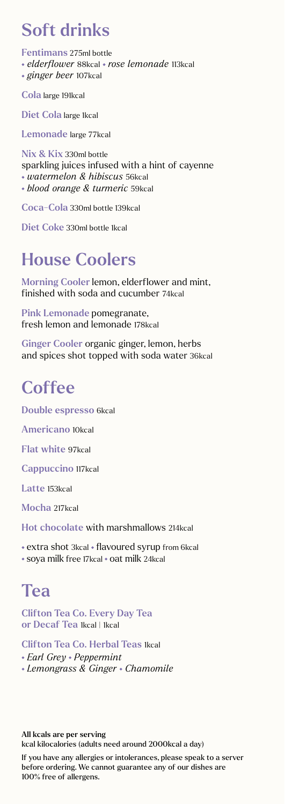# Soft drinks

Fentimans 275ml bottle  *elderflower* 88kcal *rose lemonade* 113kcal  *ginger beer* 107kcal

Cola large 191kcal

Diet Cola large 1kcal

Lemonade large 77kcal

Nix & Kix 330ml bottle sparkling juices infused with a hint of cayenne  *watermelon & hibiscus* 56kcal  *blood orange & turmeric* 59kcal

Coca-Cola 330ml bottle 139kcal

Diet Coke 330ml bottle 1kcal

# House Coolers

Morning Cooler lemon, elderflower and mint, finished with soda and cucumber 74kcal

Pink Lemonade pomegranate, fresh lemon and lemonade 178kcal

Ginger Cooler organic ginger, lemon, herbs and spices shot topped with soda water 36kcal

## **Coffee**

Double espresso 6kcal

Americano 10kcal

Flat white 97kcal

Cappuccino 117kcal

Latte 153kcal

Mocha 217kcal

Hot chocolate with marshmallows 214kcal

• extra shot 3kcal • flavoured syrup from 6kcal

\* soya milk free 17kcal \* oat milk 24kcal

# Tea

Clifton Tea Co. Every Day Tea or Decaf Tea Ikcal | 1kcal

Clifton Tea Co. Herbal Teas 1kcal

 *Earl Grey Peppermint* 

 *Lemongrass & Ginger Chamomile* 

All kcals are per serving kcal kilocalories (adults need around 2000kcal a day)

If you have any allergies or intolerances, please speak to a server before ordering. We cannot guarantee any of our dishes are 100% free of allergens.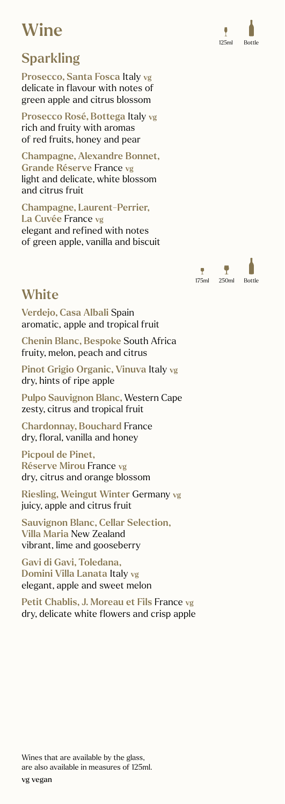# **Wine**

## Sparkling

Prosecco, Santa Fosca Italy vg delicate in flavour with notes of green apple and citrus blossom

Prosecco Rosé, Bottega Italy vg rich and fruity with aromas of red fruits, honey and pear

Champagne, Alexandre Bonnet, Grande Réserve France vg light and delicate, white blossom and citrus fruit

Champagne, Laurent-Perrier, La Cuvée France vg elegant and refined with notes of green apple, vanilla and biscuit

## **White**

Verdejo, Casa Albali Spain aromatic, apple and tropical fruit

Chenin Blanc, Bespoke South Africa fruity, melon, peach and citrus

Pinot Grigio Organic, Vinuva Italy vg dry, hints of ripe apple

Pulpo Sauvignon Blanc, Western Cape zesty, citrus and tropical fruit

Chardonnay, Bouchard France dry, floral, vanilla and honey

Picpoul de Pinet, Réserve Mirou France vg dry, citrus and orange blossom

Riesling, Weingut Winter Germany vg juicy, apple and citrus fruit

Sauvignon Blanc, Cellar Selection, Villa Maria New Zealand vibrant, lime and gooseberry

Gavi di Gavi, Toledana, Domini Villa Lanata Italy vg elegant, apple and sweet melon

Petit Chablis, J. Moreau et Fils France vg dry, delicate white flowers and crisp apple





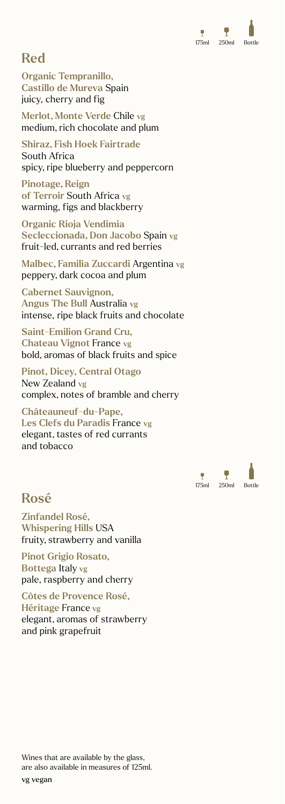

## Red

Organic Tempranillo, Castillo de Mureva Spain juicy, cherry and fig

Merlot, Monte Verde Chile vg medium, rich chocolate and plum

Shiraz, Fish Hoek Fairtrade South Africa spicy, ripe blueberry and peppercorn

Pinotage, Reign of Terroir South Africa vg warming, figs and blackberry

Organic Rioja Vendimia Secleccionada, Don Jacobo Spain vg fruit-led, currants and red berries

Malbec, Familia Zuccardi Argentina vg peppery, dark cocoa and plum

Cabernet Sauvignon, Angus The Bull Australia vg intense, ripe black fruits and chocolate

Saint-Emilion Grand Cru, Chateau Vignot France vg bold, aromas of black fruits and spice

Pinot, Dicey, Central Otago New Zealand vg complex, notes of bramble and cherry

Châteauneuf-du-Pape, Les Clefs du Paradis France vg elegant, tastes of red currants and tobacco



## Rosé

Zinfandel Rosé, Whispering Hills USA fruity, strawberry and vanilla

Pinot Grigio Rosato, Bottega Italy vg pale, raspberry and cherry

Côtes de Provence Rosé, Héritage France vg elegant, aromas of strawberry and pink grapefruit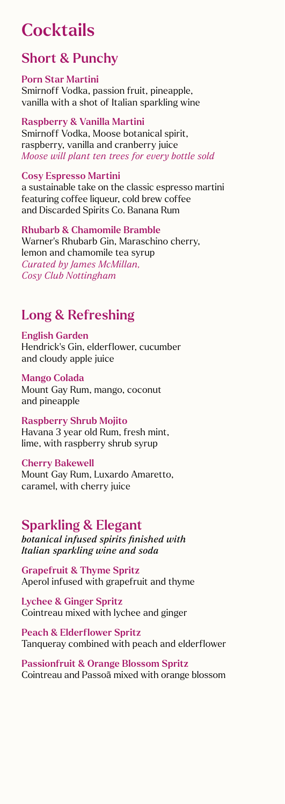# **Cocktails**

## Short & Punchy

#### Porn Star Martini

Smirnoff Vodka, passion fruit, pineapple, vanilla with a shot of Italian sparkling wine

### Raspberry & Vanilla Martini

Smirnoff Vodka, Moose botanical spirit, raspberry, vanilla and cranberry juice *Moose will plant ten trees for every bottle sold*

### Cosy Espresso Martini

a sustainable take on the classic espresso martini featuring coffee liqueur, cold brew coffee and Discarded Spirits Co. Banana Rum

Rhubarb & Chamomile Bramble Warner's Rhubarb Gin, Maraschino cherry, lemon and chamomile tea syrup *Curated by James McMillan, Cosy Club Nottingham*

## Long & Refreshing

English Garden Hendrick's Gin, elderflower, cucumber and cloudy apple juice

#### Mango Colada Mount Gay Rum, mango, coconut and pineapple

Raspberry Shrub Mojito Havana 3 year old Rum, fresh mint, lime, with raspberry shrub syrup

### Cherry Bakewell

Mount Gay Rum, Luxardo Amaretto, caramel, with cherry juice

## Sparkling & Elegant

*botanical infused spirits finished with Italian sparkling wine and soda*

Grapefruit & Thyme Spritz Aperol infused with grapefruit and thyme

Lychee & Ginger Spritz Cointreau mixed with lychee and ginger

Peach & Elderflower Spritz Tanqueray combined with peach and elderflower

Passionfruit & Orange Blossom Spritz Cointreau and Passoã mixed with orange blossom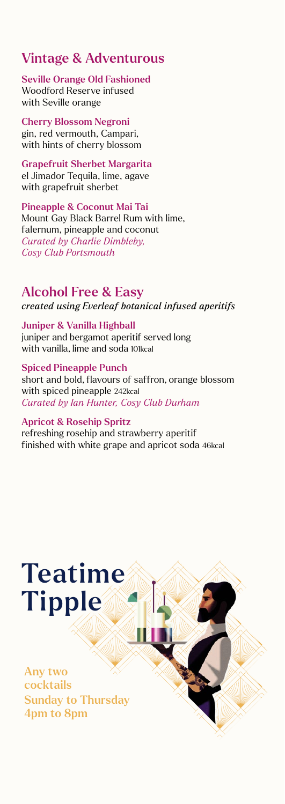## Vintage & Adventurous

Seville Orange Old Fashioned Woodford Reserve infused with Seville orange

Cherry Blossom Negroni gin, red vermouth, Campari, with hints of cherry blossom

Grapefruit Sherbet Margarita el Jimador Tequila, lime, agave with grapefruit sherbet

Pineapple & Coconut Mai Tai Mount Gay Black Barrel Rum with lime, falernum, pineapple and coconut *Curated by Charlie Dimbleby, Cosy Club Portsmouth*

### Alcohol Free & Easy

*created using Everleaf botanical infused aperitifs*

Juniper & Vanilla Highball juniper and bergamot aperitif served long with vanilla, lime and soda 101kcal

Spiced Pineapple Punch short and bold, flavours of saffron, orange blossom with spiced pineapple 242kcal *Curated by Ian Hunter, Cosy Club Durham*

#### Apricot & Rosehip Spritz

refreshing rosehip and strawberry aperitif finished with white grape and apricot soda 46kcal

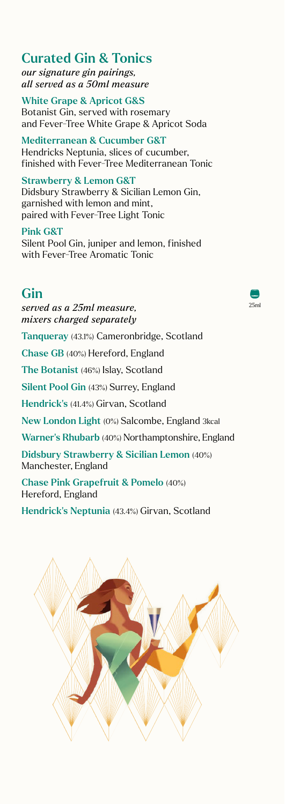Curated Gin & Tonics *our signature gin pairings, all served as a 50ml measure* 

White Grape & Apricot G&S Botanist Gin, served with rosemary and Fever-Tree White Grape & Apricot Soda

Mediterranean & Cucumber G&T Hendricks Neptunia, slices of cucumber, finished with Fever-Tree Mediterranean Tonic

Strawberry & Lemon G&T Didsbury Strawberry & Sicilian Lemon Gin, garnished with lemon and mint, paired with Fever-Tree Light Tonic

Pink G&T Silent Pool Gin, juniper and lemon, finished with Fever-Tree Aromatic Tonic

## Gin

*served as a 25ml measure, mixers charged separately*

Tanqueray (43.1%) Cameronbridge, Scotland

Chase GB (40%) Hereford, England

The Botanist (46%) Islay, Scotland

Silent Pool Gin (43%) Surrey, England

Hendrick's (41.4%) Girvan, Scotland

New London Light (0%) Salcombe, England 3kcal

Warner's Rhubarb (40%) Northamptonshire, England

Didsbury Strawberry & Sicilian Lemon (40%) Manchester, England

Chase Pink Grapefruit & Pomelo (40%) Hereford, England

Hendrick's Neptunia (43.4%) Girvan, Scotland



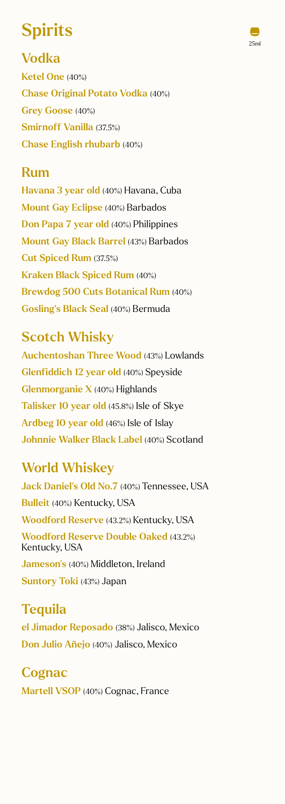# **Spirits**

25ml

Vodka Ketel One (40%) Chase Original Potato Vodka (40%) Grey Goose (40%) Smirnoff Vanilla (37.5%) Chase English rhubarb (40%)

## Rum

Havana 3 year old (40%) Havana, Cuba Mount Gay Eclipse (40%) Barbados Don Papa 7 year old (40%) Philippines Mount Gay Black Barrel (43%) Barbados Cut Spiced Rum (37.5%) Kraken Black Spiced Rum (40%) Brewdog 500 Cuts Botanical Rum (40%) Gosling's Black Seal (40%) Bermuda

## Scotch Whisky

Auchentoshan Three Wood (43%) Lowlands Glenfiddich 12 year old (40%) Speyside Glenmorganie X (40%) Highlands Talisker 10 year old (45.8%) Isle of Skye Ardbeg 10 year old (46%) Isle of Islay Johnnie Walker Black Label (40%) Scotland

## World Whiskey

Jack Daniel's Old No.7 (40%) Tennessee, USA Bulleit (40%) Kentucky, USA Woodford Reserve (43.2%) Kentucky, USA Woodford Reserve Double Oaked (43.2%) Kentucky, USA Jameson's (40%) Middleton, Ireland

Suntory Toki (43%) Japan

**Tequila** el Jimador Reposado (38%) Jalisco, Mexico Don Julio Añejo (40%) Jalisco, Mexico

**Cognac** Martell VSOP (40%) Cognac, France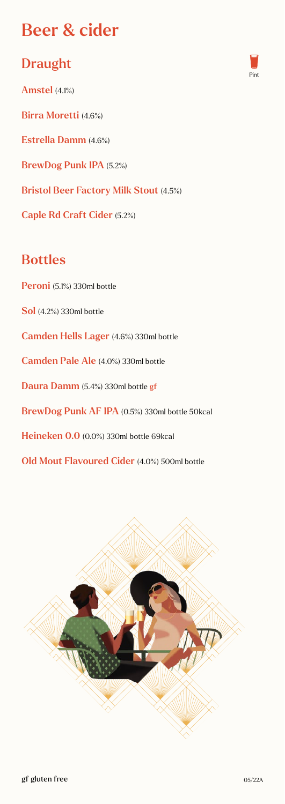# Beer & cider

## Draught

Amstel (4.1%) Birra Moretti (4.6%) Estrella Damm (4.6%) BrewDog Punk IPA (5.2%) Bristol Beer Factory Milk Stout (4.5%) Caple Rd Craft Cider (5.2%)

## Bottles

Peroni (5.1%) 330ml bottle Sol (4.2%) 330ml bottle Camden Hells Lager (4.6%) 330ml bottle Camden Pale Ale (4.0%) 330ml bottle Daura Damm (5.4%) 330ml bottle gf BrewDog Punk AF IPA (0.5%) 330ml bottle 50kcal Heineken 0.0 (0.0%) 330ml bottle 69kcal Old Mout Flavoured Cider (4.0%) 500ml bottle